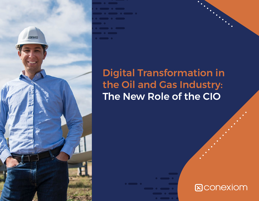

# Digital Transformation in the Oil and Gas Industry: The New Role of the CIO

# **E**CONEXIOM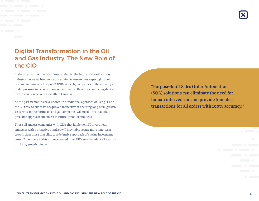## Digital Transformation in the Oil and Gas Industry: The New Role of the CIO

In the aftermath of the COVID-19 pandemic, the future of the oil and gas industry has never been more uncertain. As researchers expect global oil demand to remain below pre-COVID-19 levels, companies in the industry are under pressure to become more operationally efficient as embracing digital transformation becomes a matter of survival.

As the past 12 months have shown, the traditional approach of using IT and the CIO role to cut costs has proven ineffective at ensuring long-term growth. To survive in the future, oil and gas companies will need CIOs that take a proactive approach and invest in future-proof technologies.

Those oil and gas companies with CIOs that implement IT investment strategies with a proactive mindset will inevitably secure more long-term growth than those that cling to a defensive approach of cutting investment costs. To compete in this unprecedented time, CIOs need to adapt a forwardthinking, growth mindset.

**"Purpose-built Sales Order Automation (SOA) solutions can eliminate the need for human intervention and provide touchless transactions for all orders with 100% accuracy."**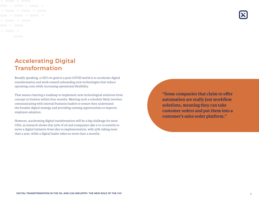## Accelerating Digital Transformation

Broadly speaking, a CIO's #1 goal in a post-COVID world is to accelerate digital transformation and work toward onboarding new technologies that reduce operating costs while increasing operational flexibility.

That means charting a roadmap to implement new technological solutions from concept to fruition within four months. Meeting such a schedule likely involves communicating with internal business leaders to ensure they understand the broader digital strategy and providing training opportunities to improve employee adoption.

However, accelerating digital transformation will be a big challenge for most CIOs, as research shows that 55% of oil and companies take 6 to 12 months to move a digital initiative from idea to implementation, with 33% taking more than a year, while a digital leader takes no more than 4 months.

**"Some companies that claim to offer automation are really just workflow solutions, meaning they can take customer orders and put them into a customer's sales order platform."**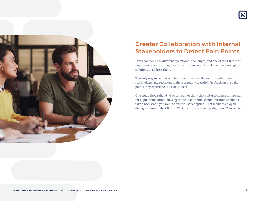

# Greater Collaboration with Internal Stakeholders to Detect Pain Points

Every company has different operational challenges, and one of the CIO's most important tasks is to diagnose those challenges and implement technological solutions to address them.

The only way to do that is to build a culture of collaboration with internal stakeholders and reach out to them regularly to gather feedback on the pain points they experience on a daily basis.

One study shows that 63% of companies think that cultural change is important for digital transformation, suggesting that internal communication shouldn't take a backseat if you want to ensure user adoption. That includes an open dialogue between the CIO and CEO to ensure leadership aligns on IT investment.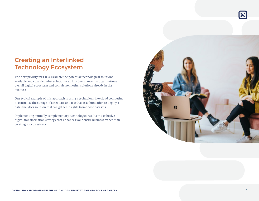## Creating an Interlinked Technology Ecosystem

The next priority for CIOs: Evaluate the potential technological solutions available and consider what solutions can link to enhance the organisation's overall digital ecosystem and complement other solutions already in the business.

One typical example of this approach is using a technology like cloud computing to centralise the storage of asset data and use that as a foundation to deploy a data-analytics solution that can gather insights from those datasets.

Implementing mutually complementary technologies results in a cohesive digital transformation strategy that enhances your entire business rather than creating siloed systems.



DIGITAL TRANSFORMATION IN THE OIL AND GAS INDUSTRY: THE NEW ROLE OF THE CIO 5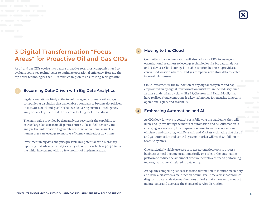### 3 Digital Transformation "Focus Areas" for Proactive Oil and Gas CIOs

As oil and gas CIOs evolve into a more proactive role, most companies need to evaluate some key technologies to optimize operational efficiency. Here are the top-three technologies that CIOs must champion to ensure long-term growth:

#### Becoming Data-Driven with Big Data Analytics

Big data analytics is likely at the top of the agenda for many oil and gas companies as a solution that can enable a company to become data-driven. In fact, 40% of oil and gas CIOs believe delivering business intelligence/ analytics is a key issue that the board is looking for IT to address.

The main value provided by data analytics services is the capability to extract large datasets from disparate sources, like oilfield sensors, and analyse that information to generate real-time operational insights a human user can leverage to improve efficiency and reduce downtime.

Investment in big data analytics presents ROI potential, with McKinsey reporting that advanced analytics can yield returns as high as 30–50 times the initial investment within a few months of implementation.

#### Moving to the Cloud

Committing to cloud migration will also be key for CIOs focusing on organisational readiness to leverage technologies like big data analytics or IoT devices. Cloud storage is a viable solution because it provides a centralised location where oil and gas companies can store data collected from oilfield sensors.

Cloud investment is the foundation of any digital ecosystem and has empowered many digital transformation initiatives in the industry, such as those undertaken by giants like BP, Chevron, and ExxonMobil, that have realised cloud computing is a key technology for ensuring long-term operational agility and scalability.

#### Embracing Automation and AI

As CIOs look for ways to control costs following the pandemic, they will likely end up evaluating the merits of automation and AI. Automation is emerging as a necessity for companies looking to increase operational efficiency and cut costs, with Research and Markets estimating that the oil and gas automation and control systems' market will reach \$51 billion in revenue by 2025.

One particularly viable use case is to use automation tools to process business-critical documents automatically or a sales order automation platform to reduce the amount of time your employees spend performing tedious, manual work related to data entry.

An equally compelling use case is to use automation to monitor machinery and issue alerts when a malfunction occurs. Real-time alerts that produce diagnostic data on device malfunctions or leaks make it easier to conduct maintenance and decrease the chance of service disruption.